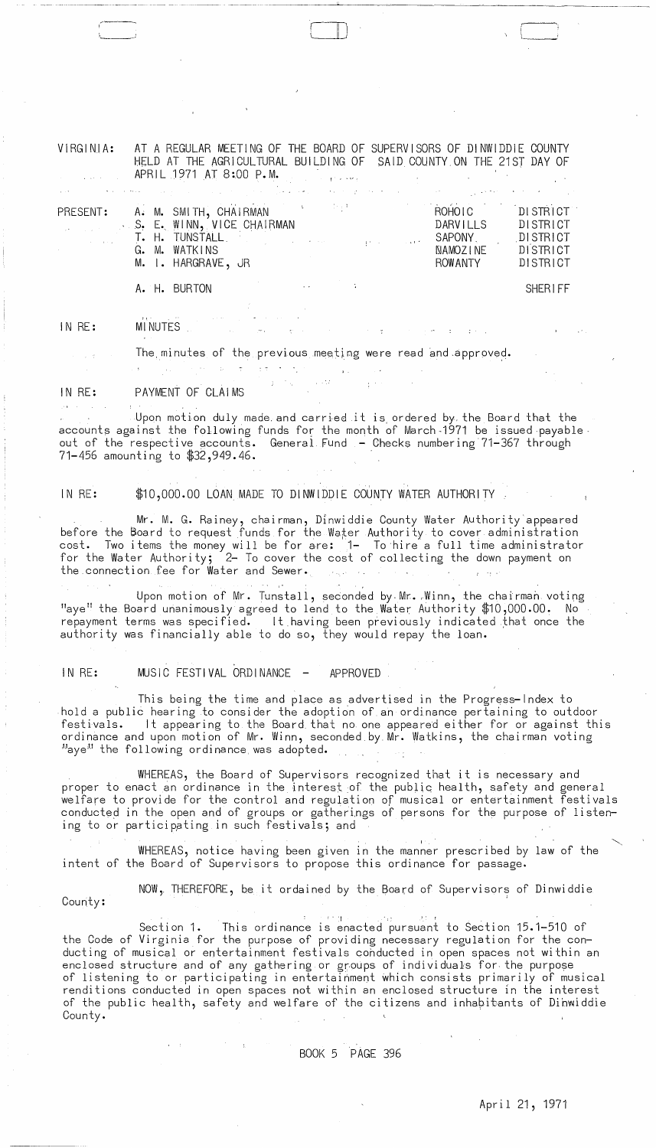VIRGINIA: AT A REGULAR MEETING OF THE BOARD OF SUPERVISORS OF DINWIDDIE COUNTY HELD AT THE AGRICULTURAL BUILDING OF SAID COUNTY ON THE 21ST DAY OF APRIL 1971 AT 8:00 P.M.

|          |  | ,一个人都是一个人的人,一个人都是一个人,一个人都是一个人,一个人都是一个人,一个人都是一个人,一个人都是一个人,一个人都是一个人,一个人都是一个人,一个人都是一                                                                                    |  |  |                                                      |                                                          |
|----------|--|----------------------------------------------------------------------------------------------------------------------------------------------------------------------|--|--|------------------------------------------------------|----------------------------------------------------------|
| PRESENT: |  | A. M. SMITH, CHAIRMAN<br>S. E. WINN, VICE CHAIRMAN<br>the part of <b>T. H. TUNSTALL</b> , the part of the part of part of the<br>G. M. WATKINS<br>M. I. HARGRAVE, JR |  |  | ROHOLC<br>DARVILLS<br>SAPONY.<br>NAMOZINE<br>ROWANTY | DISTRICT<br>DISTRICT<br>DISTRICT<br>DISTRICT<br>DISTRICT |
|          |  |                                                                                                                                                                      |  |  |                                                      |                                                          |

## A. H. BURTON SHERIFF

#### IN RE: MINUTES

# The minutes of the previous meeting were read and approved.

 $\label{eq:1} \mathcal{L}_{\mathcal{A}}(\mathcal{A})=\mathcal{L}_{\mathcal{A}}(\mathcal{A})\otimes\mathcal{L}_{\mathcal{A}}(\mathcal{A})=\mathcal{L}_{\mathcal{A}}(\mathcal{A})\otimes\mathcal{L}_{\mathcal{A}}(\mathcal{A})\otimes\mathcal{L}_{\mathcal{A}}(\mathcal{A})\otimes\mathcal{L}_{\mathcal{A}}(\mathcal{A})\otimes\mathcal{L}_{\mathcal{A}}(\mathcal{A})\otimes\mathcal{L}_{\mathcal{A}}(\mathcal{A})\otimes\mathcal{L}_{\mathcal{A}}(\mathcal{A})\otimes\mathcal{L}_{\mathcal$ 

IN RE: PAYMENT OF CLAIMS

'---'

Upon motion duly made and carried it is ordered by the Board that the accounts against the following funds for the month of March-1971 be issued payable ' out of the respective accounts. General Fund - Checks numbering 71-367 through 71-456 amounting to \$32,949.46.

## IN RE: \$10,000.00 LOAN MADE TO DINWIDDIE COUNTY WATER AUTHORITY

Mr. M. G. Rainey, chairman, Dinwiddie County Water Authority'appeared before the Board to request funds for the Water Authority to cover administration cost. Two items the money will be for are:  $\vert$ 1- To hire $\degree$ a full time administrator for the Water Authority; <sup>2</sup>- To cover the cost of collecting the down payment on the connection fee for Water and Sewer. الجواجر

Upon motion of Mr. Tunstall, seconded by Mr. Winn, the chairman voting "aye" the Board unanimously agreed to lend to the Water Authority \$10,000.00. No repayment terms was specified. It having been previously indicated that once the authority was financially able to do so, they would repay the loan.

## IN RE: MUSIC FESTIVAL ORDINANCE - APPROVED

 $\mathcal{A}^{\mathcal{A}}$  and  $\mathcal{A}^{\mathcal{A}}$  and  $\mathcal{A}^{\mathcal{A}}$  and  $\mathcal{A}^{\mathcal{A}}$ 

This being the time and place as advertised in the Progress-Index to hold a public hearing to consider the adoption of an ordinance pertaining to outdoor It appearing to the Board that no one appeared either for or against this ordinance and upon motion of Mr. Winn, seconded.byMr. Watkins, the chairman voting Haye<sup>M</sup> the following ordinance was adopted.

WHEREAS, the Board of Supervisors recognized that it is necessary and proper to enact an ordinance in the interest of the public health, safety and general welfare to provide for the control and regulation of musical or entertainment festivals conducted in the open and of groups or gatherings of persons for the purpose of listening to or particippting in such festivals; and

WHEREAS, notice having been given in the manner prescribed by law of the intent of the Board of Supervisors to propose this ordinance for passage.

County: NOW, THEREFORE, be it ordained by the Board of Supervisors of Dinwiddie

.. 'I t' <sup>r</sup> Section 1. This ordinance is enacted pursuant to Section 15.1-510 of the Code of Virginia for the purpose of providing necessary regulation for the conducting of musical or entertainment festivals cohducted in open spaces not within an enclosed structure and of any gathering or groups of individuals for the purpose of listening to or participating in entertainment which consists primarily of musical renditions conducted in open spaces not within an enclosed structure in the interest of the public health, safety and welfare of the citizens and inhabitants of Dihwiddie County.

 $\infty$ 

 $\label{eq:1} \mathcal{N} = \mathcal{N} \left( \mathcal{N} \right) \left( \mathcal{N} \right) \left( \mathcal{N} \right) \left( \mathcal{N} \right) \left( \mathcal{N} \right)$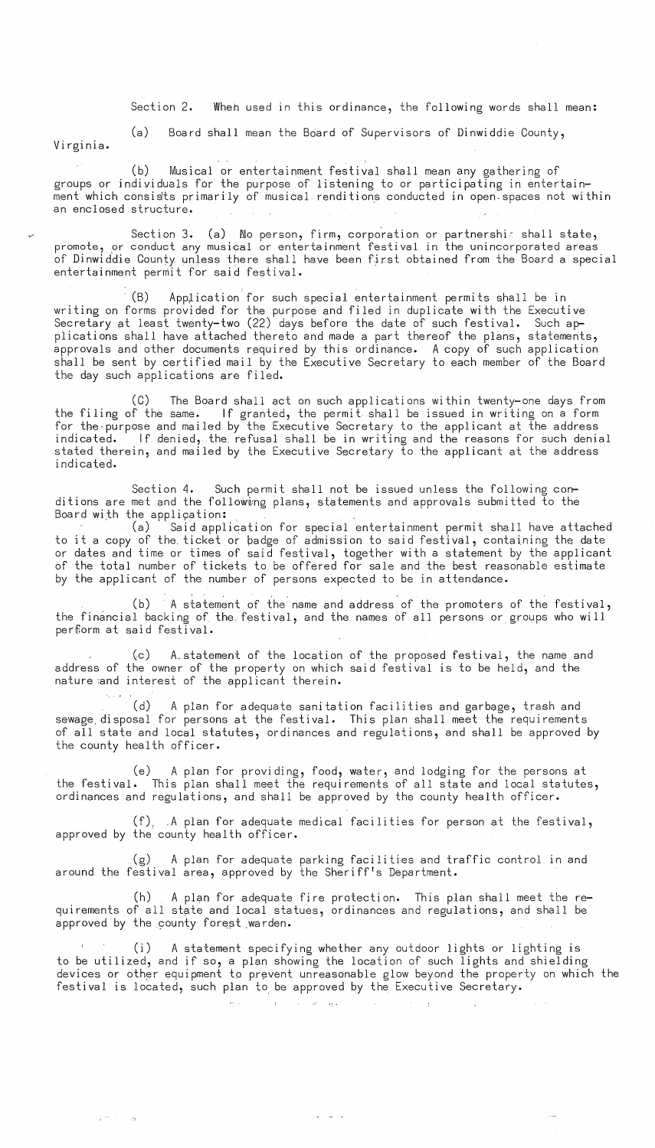Section 2. When used in this ordinance, the following words shall mean:

Virginia.

*v* 

(a) Board shall mean the Board of Supervisors of Dinwiddie County,

(b) Musical or entertainment festival shall mean any gathering of groups or individuals for the purpose of listening to or participating in entertain ment which consists primarily of musical renditions conducted in open-spaces not within an enclosed structure.

Section 3. (a) No person, firm, corporation or partnershic shall state, promote, or conduct any musical or entertainment festival in the unincorporated areas of Dinwiddie County unless there shall have been first obtained from the *Board* a special entertainment permit for said festival.

(B) Application for such special entertainment permits shall be in writing on forms provided for the purpose and filed in duplicate with the Executive Secretary at least twenty-two (22) days before the date of such festival. Such applications shall have attached thereto and made a part thereof the plans, statements, approvals and other documents required by this ordinance. A copy of such application shall be sent by certified mail by the Executive Secretary to each member of the Board the day such applications are filed.

(C) The Board shall act on such applications within twenty-one days from the filing of the same. If granted, the permit shall be issued in writing on a form for the-purpose and mailed by the Executive Secretary to the applicant at the address indicated. If denied, the. refusal shall be in writing and the reasons for such denial stated therein, and mailed by the Executive Secretary to the applicant at the address indicated.

Section 4. Such permit shall not be issued unless the following conditions are met and the following plans, statements and approvals submitted to the<br>Board with the application:

(a) Said application for special entertainment permit shall have attached to it a copy of the ticket or badge of admission to said festival, containing the date or dates and time or times of said festival, together with a statement by the applicant of the total number of tickets to be offered for sale and the best reasonable estimate by the applicant of the number of persons expected to be in attendance.

(b) A statement of the name and address of the promoters of the festival, the financial backing of the. festival, and the names bf all persons or groups who will per£orm at said festival.

(c) A\_statement of the location of the proposed festival, the name and address of the owner of the property on which said festival is to be held, and the nature :and interest of the applicant therein.

(d) A plan for adequate sanitation facilities and garbage, trash and sewage, disposal for persons at the festival. This plan shall meet the requirements of all state and local statutes, ordinances and regulations, and shall be approved by the county health officer.

(e) A plan for providing, food, water, and lodging for the persons at the festival. This plan shall meet the requirements of all state and local statutes, ordinances and regulations, and shall be approved by the county health officer.

(f),  $\Lambda$  plan for adequate medical facilities for person at the festival, approved by the county health officer.

(g) A plan for adequate parking facilities and traffic control in and around the festival area, approved by the Sheriff's Department.

 $(h)$  A plan for adequate fire protection. This plan shall meet the requirements of all state and local statues, ordinances and regulations, and shall be approved by the county forest warden.

 $\frac{1}{2} \sum_{i=1}^n \left( \frac{1}{2} \sum_{j=1}^n \frac{1}{2} \sum_{j=1}^n \frac{1}{2} \sum_{j=1}^n \frac{1}{2} \sum_{j=1}^n \frac{1}{2} \sum_{j=1}^n \frac{1}{2} \sum_{j=1}^n \frac{1}{2} \sum_{j=1}^n \frac{1}{2} \sum_{j=1}^n \frac{1}{2} \sum_{j=1}^n \frac{1}{2} \sum_{j=1}^n \frac{1}{2} \sum_{j=1}^n \frac{1}{2} \sum_{j=1}^n \frac{1}{2} \sum$ 

(i) A statement specifying whether any outdoor lights or lighting is to be utilized, and if so, a plan showing the location of such lights and shielding devices or other equipment to prevent unreasonable glow beyond the property on which the festival is located, such plan to be approved by the Executive Secretary.

 $\mathcal{A}^{\text{max}}$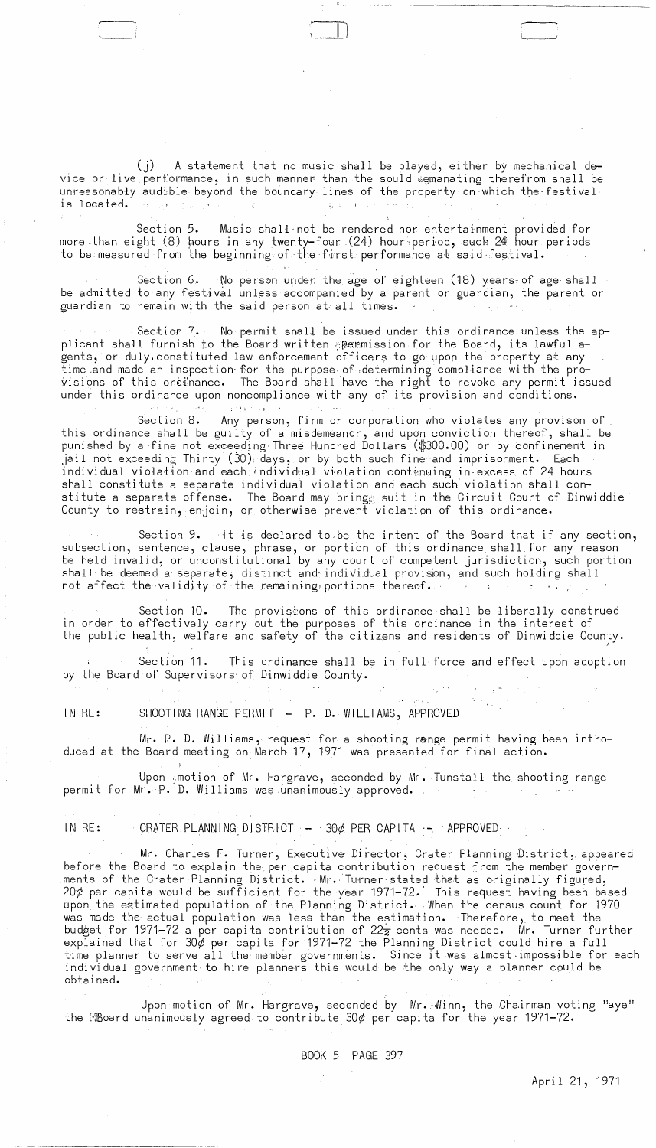(j) A statement that no music shall be played, either by mechanical device or live performance, in such manner than the sould  $\epsilon$ gmanating therefrom shall be unreasonably audible beyond the boundary lines of the property on which the festival (j) A statement that no music shall be<br>vice or live performance, in such manner than the sou<br>unreasonably audible beyond the boundary lines of the<br>is located.

Section 5. Music shall'not be rendered nor entertainment provided for more than eight (8) hours in any twenty-four (24) hour period, such 24 hour periods to be.measured from the beginning of the first-performance at said·festival.

Section 6. No person under the age of eighteen (18) years of age shall be admitted to any festival unless accompanied by a parent or guardian, the parent or guardian to remain wi th the said person at all times.

Section 7. No permit shall be issued under this ordinance unless the applicant shall furnish to the Board written permission for the Board, its lawful agents, or duly constituted law enforcement officers to go upon the property at any time .and made an inspection· for the purpose· of ,determining compliance wi th the provisions of this ordinance. The Board shall have the right to revoke any permit issued under this ordinance upon noncompliance with any of its provision and conditions.

 $1.224\pm0.04$  and  $0.01$  $\mu(t_1)$  and Section 8. Any person, firm or corporation who violates any provison of this ordinance shall be guilty of a misdemeanor, and upon conviction thereof, shall be punished by a fine not exceeding-Three Hundred Dollars (\$300.00) or by confinement in jail not exceeding Thirty (30) days, or by both such fine and imprisonment. Each individual violakioncand each-individual violation continuing in·excess of 24 hours shall constitute a separate individual violation and each such violation shall constitute a separate offense. The Board may bring $_{\odot}$  suit in the Circuit Court of Dinwiddie County to restrain, enjoin, or otherwise prevent violation of this ordinance.

Section 9. It is declared to be the intent of the Board that if any section, subsection, sentence, clause, phrase, or portion of this ordinance shall for any reason be held invalid, or unconstitutional by any court of competent jurisdiction, such portion shall-be deemed a separate, distinct and individual provision, and such holding shall not affect the validity of the remaining portions thereof.

Section 10. The provisions of this ordinance shall be liberally construed in order to effectively carry out the purposes of this ordinance in the interest of the public health, welfare and safety of the citizens and residents of Dinwiddie County.

Section 11. This ordinance shall be in full force and effect upon adoption by the Board of Supervisors of Dinwiddie County.

 $\label{eq:2.1} \mathcal{L} = \mathcal{L} \mathcal{L} \left( \mathcal{L} \right) \mathcal{L} \left( \mathcal{L} \right) \mathcal{L} \left( \mathcal{L} \right)$ 

IN RE:<br>IN RE: SHOOTING RANGE PERMIT - P. D. WILLIAMS, APPROVED

 $\mathcal{V}=\mathcal{N}(\mathcal{V})$ 

Mr. P. D. Williams, request for a shooting range permit having been introduced at the Board meeting on March 17, 1971 was presented for final action.

Upon : motion of Mr. Hargrave, seconded by Mr. Tunstall the shooting range permit for Mr. P. D. Williams was unanimously approved. The manner of the contract of the contract of the contr

IN RE:  $\overline{ORATER}$  PLANNING DISTRICT  $-$  30¢ PER CAPITA  $-$  APPROVED-

Mr. Charles F. Turner, Executive Director, Crater Planning District, appeared before the Board to explain the per capita contribution request from the member governments of the Crater Planning District. Mr. Turner stated that as originally figured, 20 $\phi$  per capita would be sufficient for the year 1971-72. This request having been based upon the estimated population of the Planning District. When the census count for 1970 was made the actual population was less than the estimation. Therefore, to meet the budget for 1971-72 a per capita contribution of 22 $\frac{1}{2}$  cents was needed.  $\:$  Mr. Turner further explained that for 30 $\phi$  per capita for 1971-72 the Planning District could hire a full time planner to serve all the member governments. Since it was almost impossible for each individual government to hire planners this would be the only way a planner could be obta i ned.

Upon motion of Mr. Hargrave, seconded by Mr. Winn, the Chairman voting "aye" the  $\frac{10}{100}$  unanimously agreed to contribute 30 $\phi$  per capita for the year 1971-72.

)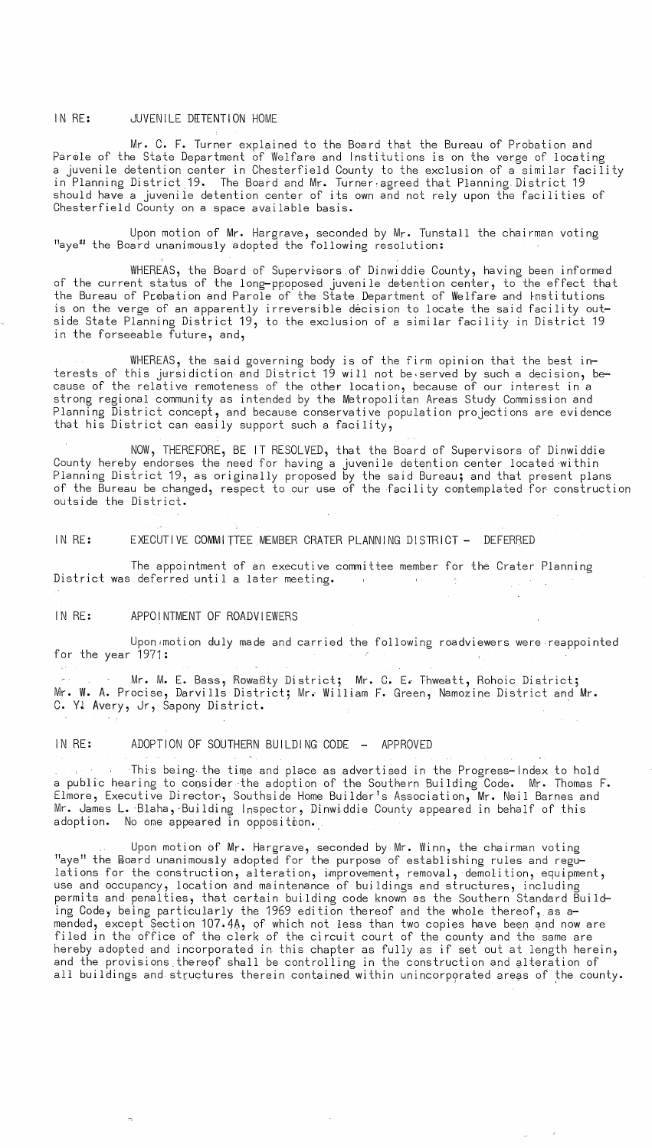## IN RE: JUVENILE DETENTION HOME

Mr. C. **F.** Turner explained to the Board that the Bureau of Probation and Parole of the State Department of Welfare and Institutions is on the verge of locating a juvenile detention center in Chesterfield County to the exclusion of a similar facility in Planning Distric±.19. The Board and Mr. Turner,agreed that Planning District 19 should have a juvenile detention center of its own and not rely upon the facilities of Chesterfield County on a space available basis.

Upon motion of Mr. Hargrave, seconded by Mr. Tunstall the chairman voting "aye" the Board unanimously adopted the following resolution:

WHEREAS, the Board of Supervisors of Dinwiddie County, having been informed of the current status of the long-ppoposed juvenile detention center, to the effect that the Bureau of Probation and Parole of the State Department of Welfare and Institutions is on the verge of an apparently irreversible decision to locate the said facility outside state Planning District 19, to the exclusion of a similar facility in District 19 in the forseeable future, and,

WHEREAS, the said governing body is of the firm opinion that the best interests of this jursidiction and District 19 will not be served by such a decision, because of the relative remoteness of the other location, because of our interest in a strong regional community as intended by the Metropolitan Areas study Commission and Planning District concept, and because conservative population projections are evidence that his District can easily support such a facility,

NOW, THEREFORE, BE IT RESOLVED, that the Board of Supervisors of Dinwiddie County hereby endorses the need for having a juvenile detention center located ·within Planning District 19, as originally proposed by the said Bureau; and that present plans of the Bureau be changed, respect to our use of the facility comtemplated for construction outside the District.

IN RE: EXECUTIVE COMMITTEE MEMBER CRATER PLANNING DISTRICT - DEFERRED

The appointment of an executive committee member for the Crater Planning District was deferred until a later meeting.

#### IN RE: APPOINTMENT OF ROADVIEWERS

Upon motion duly made and carried the following roadviewers were reappointed for the year 1971:

Mr. M. E. Bass, Rowaßty District; Mr. C. E. Thweatt, Rohoic District; Mr. W. A. Procise, Darvills District; Mr. William F. Green, Namozine District and Mr. C. Yl Avery, Jr, Sapony District.

 $IN RE:$  ADOPTION OF SOUTHERN BUILDING CODE  $-$  APPROVED

This being- the time and place as advertised in the Progress-Index to hold a public hearing to coosider ·the adoption of the Southern Building Code. Mr. Thomas **F.**  Elmore, Executive Director, Southside Home Builder's Association, Mr. Neil Barnes and Mr. James **L.** ·Blaha,-Building Inspector, Dinwiddie County appeared in behalf of this adoption. No ome appeared in opposition.

Upon motion of Mr. Hargrave, seconded by Mr. Winn, the chairman voting "aye" the Board unanimously adopted for the purpose of establishing rules and regulations for the construction, alteration, improvement, removal, demolition, equipment, use and occupancy, location and maintenance of buildings and structures, including permits and penalties, that certain building code known as the Southern Standard Building Code, being particularly the 1969 edition thereof and the whole thereof, as amended, except Section 107.4A, of which not less than two copies have been and now are filed in the office of the clerk of the circuit court of the county and the same are hereby adopted and incorporated in this chapter as fully as if set out at length herein, and the provisions thereof shall be controlling in the construction and alteration of all buildings and structures therein contained within unincorporated areas of the county.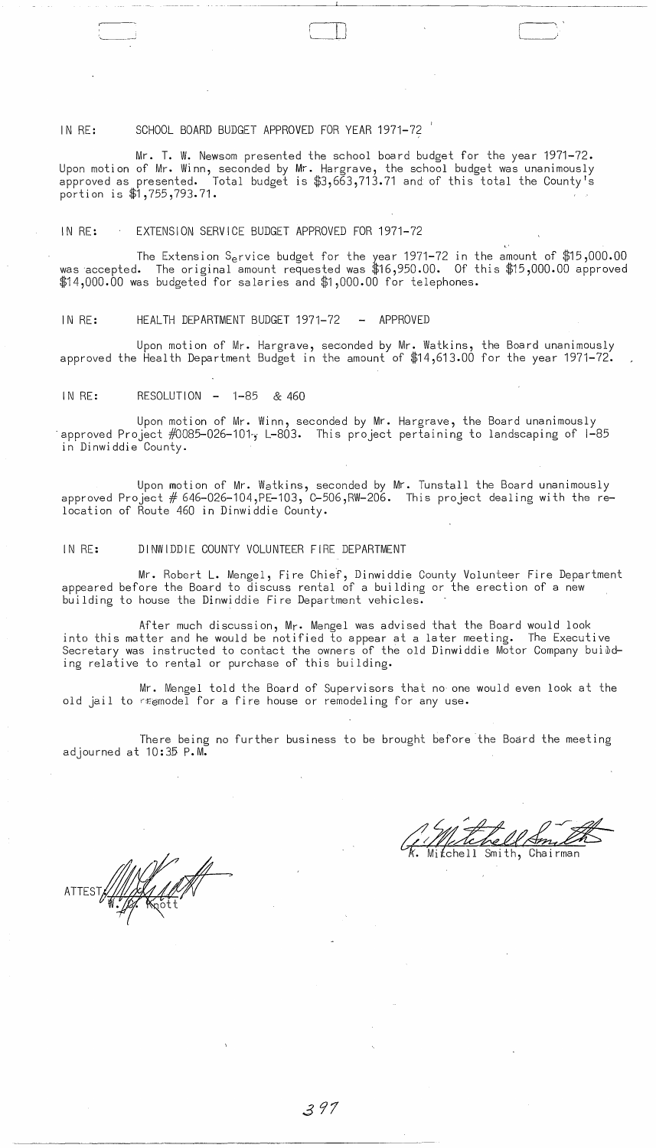## IN RE: SCHOOL BOARD BUDGET APPROVED FOR YEAR 1971-72

Mr. T. W. Newsom presented the school board budget for the year 1971-72. Upon motion of Mr. Winn, seconded by Mr. Hargrave, the school budget was unanimously approved as presented.  $\,$  Total budget is  $\text{\#3,663,713.71}$  and of this total the County's portion is \$1,755,793.71.

- -- ---- ----------'-----------------------

## IN RE: EXTENSION SERVICE BUDGET APPROVED FOR 1971-72

The Extension S<sub>e</sub>rvice budget for the year 1971<del>-</del>72 in the amount of \$15,000.00 was accepted. The original amount requested was \$16,950.00. Of this \$15,000.00 approved \$14,000.00 was budgeted for salaries and \$1,000.00 for telephones.

#### IN RE: HEALTH DEPARTMENT BUDGET 1971-72 - APPROVED

Upon motion of Mr. Hargrave, seconded by Mr. Watkins, the Board unanimously approved the Health Department Budget in the amount of \$14,613.00 for the year 1971-72.

#### $IN RE: RESOLUTION - 1-85 \& 460$

Upon motion of Mr. Winn, seconded by Mr. Hargrave, the Board unanimously<br>approved Project #0085-026-101, L-803. This project pertaining to landscaping of 1-85 in Dinwiddie County.

Upon motion of Mr. Watkins, seconded by Mr. Tunstall the Board unanimously approved Project  $# 646-026-104$ , PE-103,  $C-506$ , RW-206. This project dealing with the relocation of Route 460 in Dinwiddie County.

## IN RE: DINWIDDIE COUNTY VOLUNTEER FIRE DEPARTMENT

Mr. Robert L. Mengel, Fire Chief, Dinwiddie County Volunteer Fire Department appeared before the Board to discuss rental of a building or the erection of a new building to house the Dinwiddie Fire Department vehicles.

After much discussion, Mr. Mengel was advised that the Board would look into this matter and he would be notified to appear at a later meeting. The Executive Secretary was instructed to contact the owners of the old Dinwiddie Motor Company buibding relative to rental or purchase of this building.

Mr. Mengel told the Board of Supervisors that no one would even look at the old jail to reemodel for a fire house or remodeling for any use.

There being no further business to be brought before the Board the meeting adjourned at 10:35 P.M.

Smith, Chairman